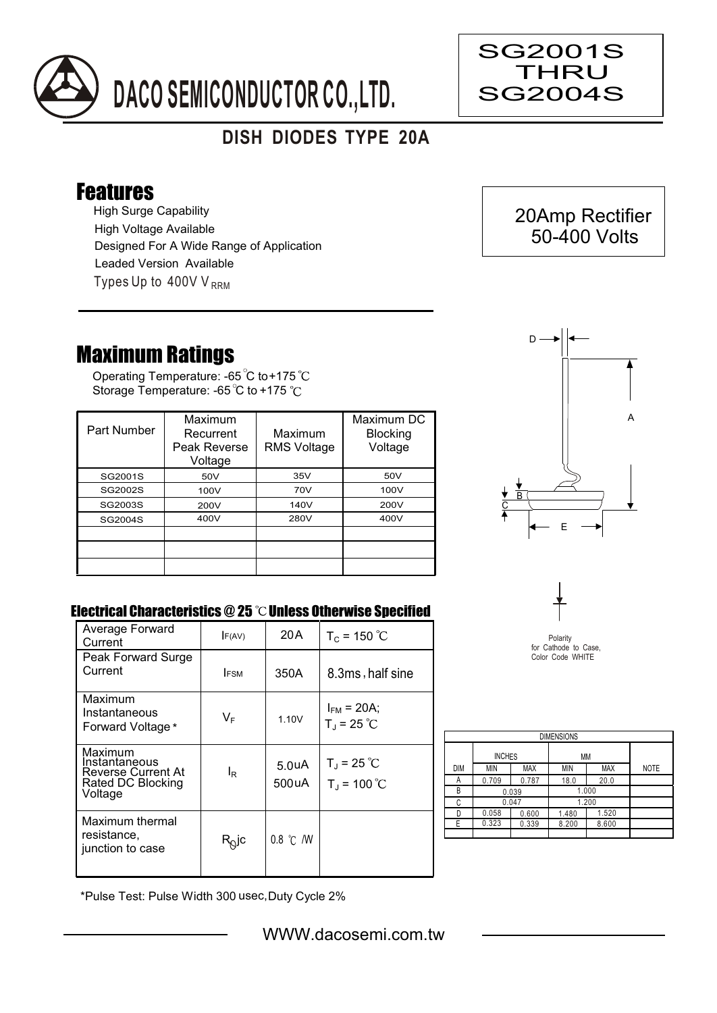

## **DISH DIODES TYPE 20A**

## Features

High Surge Capability Types Up to  $400VV_{RRM}$ High Voltage Available Designed For A Wide Range of Application Leaded Version Available

## Maximum Ratings

Operating Temperature: -65 C to +175 Storage Temperature: -65 °C to +175 °C

| Part Number | Maximum<br>Recurrent<br>Peak Reverse<br>Voltage | Maximum<br><b>RMS Voltage</b> | Maximum DC<br><b>Blocking</b><br>Voltage |
|-------------|-------------------------------------------------|-------------------------------|------------------------------------------|
| SG2001S     | 50V                                             | 35V                           | 50V                                      |
| SG2002S     | 100V                                            | 70V                           | 100V                                     |
| SG2003S     | 200V                                            | 140V                          | 200V                                     |
| SG2004S     | 400V                                            | 280V                          | 400V                                     |
|             |                                                 |                               |                                          |
|             |                                                 |                               |                                          |
|             |                                                 |                               |                                          |



## Electrical Characteristics  $@25$   $^{\circ}\text{C}$  Unless Otherwise Specified

| Average Forward<br>Current                                                            | F(AV)                   | 20 A                        | $T_c = 150 °C$                              |
|---------------------------------------------------------------------------------------|-------------------------|-----------------------------|---------------------------------------------|
| Peak Forward Surge<br>Current                                                         | <b>IFSM</b>             | 350A                        | 8.3ms, half sine                            |
| Maximum<br>Instantaneous<br>Forward Voltage*                                          | $\mathsf{V}_\mathsf{F}$ | 1.10V                       | $I_{FM}$ = 20A;<br>$T_{J}$ = 25 °C          |
| Maximum<br>Instantaneous<br><b>Reverse Current At</b><br>Rated DC Blocking<br>Voltage | l <sub>R</sub>          | 5.0 <sub>u</sub> A<br>500uA | $T_{\rm J}$ = 25 °C<br>$T_{\rm J}$ = 100 °C |
| Maximum thermal<br>resistance.<br>junction to case                                    | $R_Q$ jc                | $0.8$ °C $/$ W              |                                             |



for Cathode to Case, Color Code WHITE

| <b>DIMENSIONS</b> |               |            |       |            |             |  |  |  |  |
|-------------------|---------------|------------|-------|------------|-------------|--|--|--|--|
|                   | <b>INCHES</b> |            | МM    |            |             |  |  |  |  |
| <b>DIM</b>        | MIN           | <b>MAX</b> | MIN   | <b>MAX</b> | <b>NOTE</b> |  |  |  |  |
| Α                 | 0.709         | 0.787      | 18.0  | 20.0       |             |  |  |  |  |
| B                 | 0.039         |            | 1.000 |            |             |  |  |  |  |
| C                 | 0.047         |            |       | 1.200      |             |  |  |  |  |
| D                 | 0.058         | 0.600      | 1.480 | 1.520      |             |  |  |  |  |
| Е                 | 0.323         | 0.339      | 8.200 | 8.600      |             |  |  |  |  |
|                   |               |            |       |            |             |  |  |  |  |

\*Pulse Test: Pulse Width 300 usec,Duty Cycle 2%





Ξ